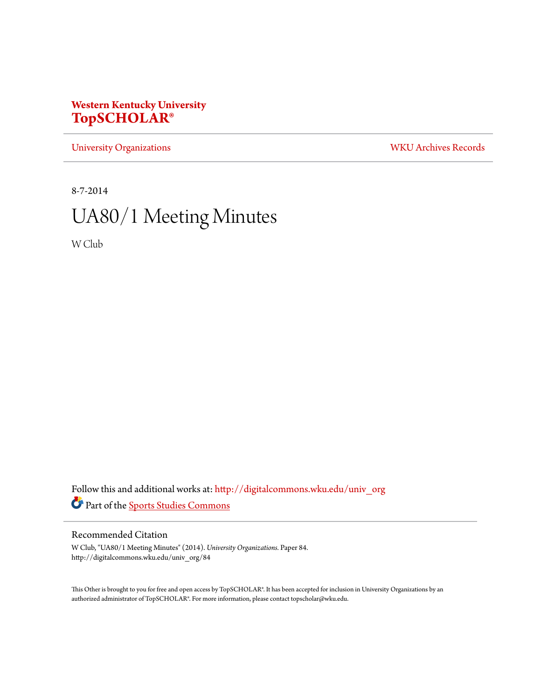## **Western Kentucky University [TopSCHOLAR®](http://digitalcommons.wku.edu?utm_source=digitalcommons.wku.edu%2Funiv_org%2F84&utm_medium=PDF&utm_campaign=PDFCoverPages)**

[University Organizations](http://digitalcommons.wku.edu/univ_org?utm_source=digitalcommons.wku.edu%2Funiv_org%2F84&utm_medium=PDF&utm_campaign=PDFCoverPages) [WKU Archives Records](http://digitalcommons.wku.edu/dlsc_ua_records?utm_source=digitalcommons.wku.edu%2Funiv_org%2F84&utm_medium=PDF&utm_campaign=PDFCoverPages)

8-7-2014

# UA80/1 Meeting Minutes

W Club

Follow this and additional works at: [http://digitalcommons.wku.edu/univ\\_org](http://digitalcommons.wku.edu/univ_org?utm_source=digitalcommons.wku.edu%2Funiv_org%2F84&utm_medium=PDF&utm_campaign=PDFCoverPages) Part of the [Sports Studies Commons](http://network.bepress.com/hgg/discipline/1198?utm_source=digitalcommons.wku.edu%2Funiv_org%2F84&utm_medium=PDF&utm_campaign=PDFCoverPages)

### Recommended Citation

W Club, "UA80/1 Meeting Minutes" (2014). *University Organizations.* Paper 84. http://digitalcommons.wku.edu/univ\_org/84

This Other is brought to you for free and open access by TopSCHOLAR®. It has been accepted for inclusion in University Organizations by an authorized administrator of TopSCHOLAR®. For more information, please contact topscholar@wku.edu.